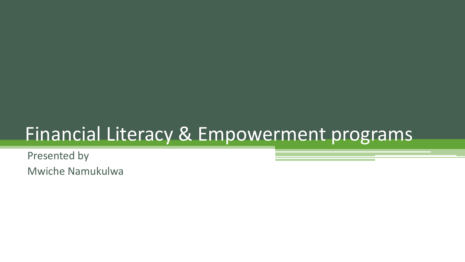# Financial Literacy & Empowerment programs

Presented by Mwiche Namukulwa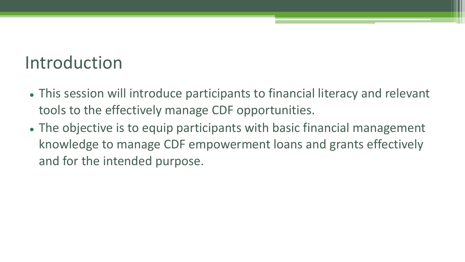### Introduction

- This session will introduce participants to financial literacy and relevant tools to the effectively manage CDF opportunities.
- The objective is to equip participants with basic financial management knowledge to manage CDF empowerment loans and grants effectively and for the intended purpose.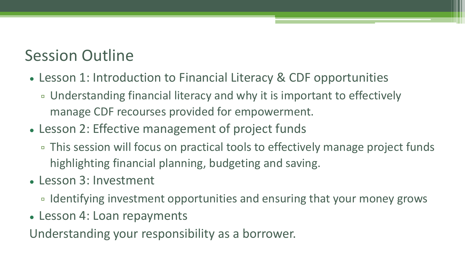### Session Outline

- Lesson 1: Introduction to Financial Literacy & CDF opportunities
	- Understanding financial literacy and why it is important to effectively manage CDF recourses provided for empowerment.
- Lesson 2: Effective management of project funds
	- This session will focus on practical tools to effectively manage project funds highlighting financial planning, budgeting and saving.
- Lesson 3: Investment
	- Identifying investment opportunities and ensuring that your money grows
- Lesson 4: Loan repayments

Understanding your responsibility as a borrower.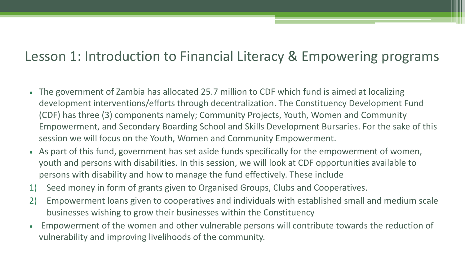### Lesson 1: Introduction to Financial Literacy & Empowering programs

- The government of Zambia has allocated 25.7 million to CDF which fund is aimed at localizing development interventions/efforts through decentralization. The Constituency Development Fund (CDF) has three (3) components namely; Community Projects, Youth, Women and Community Empowerment, and Secondary Boarding School and Skills Development Bursaries. For the sake of this session we will focus on the Youth, Women and Community Empowerment.
- As part of this fund, government has set aside funds specifically for the empowerment of women, youth and persons with disabilities. In this session, we will look at CDF opportunities available to persons with disability and how to manage the fund effectively. These include
- 1) Seed money in form of grants given to Organised Groups, Clubs and Cooperatives.
- 2) Empowerment loans given to cooperatives and individuals with established small and medium scale businesses wishing to grow their businesses within the Constituency
- Empowerment of the women and other vulnerable persons will contribute towards the reduction of vulnerability and improving livelihoods of the community.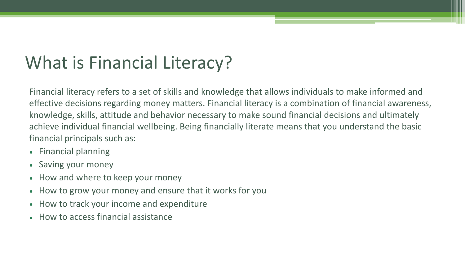## What is Financial Literacy?

Financial literacy refers to a set of skills and knowledge that allows individuals to make informed and effective decisions regarding money matters. Financial literacy is a combination of financial awareness, knowledge, skills, attitude and behavior necessary to make sound financial decisions and ultimately achieve individual financial wellbeing. Being financially literate means that you understand the basic financial principals such as:

- Financial planning
- Saving your money
- How and where to keep your money
- How to grow your money and ensure that it works for you
- How to track your income and expenditure
- How to access financial assistance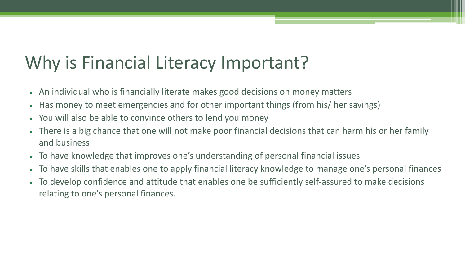### Why is Financial Literacy Important?

- An individual who is financially literate makes good decisions on money matters
- Has money to meet emergencies and for other important things (from his/ her savings)
- You will also be able to convince others to lend you money
- There is a big chance that one will not make poor financial decisions that can harm his or her family and business
- To have knowledge that improves one's understanding of personal financial issues
- To have skills that enables one to apply financial literacy knowledge to manage one's personal finances
- To develop confidence and attitude that enables one be sufficiently self-assured to make decisions relating to one's personal finances.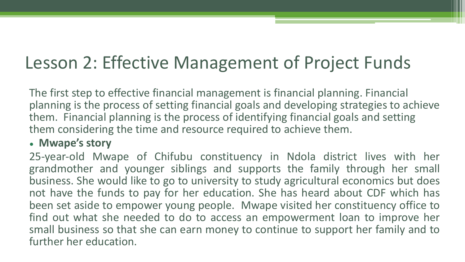### Lesson 2: Effective Management of Project Funds

The first step to effective financial management is financial planning. Financial planning is the process of setting financial goals and developing strategies to achieve them. Financial planning is the process of identifying financial goals and setting them considering the time and resource required to achieve them.

#### • **Mwape's story**

25-year-old Mwape of Chifubu constituency in Ndola district lives with her grandmother and younger siblings and supports the family through her small business. She would like to go to university to study agricultural economics but does not have the funds to pay for her education. She has heard about CDF which has been set aside to empower young people. Mwape visited her constituency office to find out what she needed to do to access an empowerment loan to improve her small business so that she can earn money to continue to support her family and to further her education.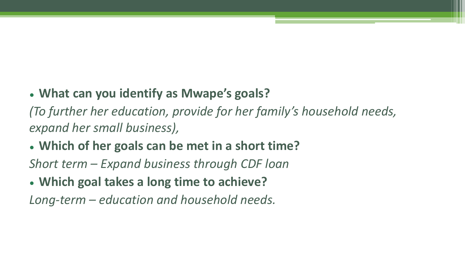### • **What can you identify as Mwape's goals?**

*(To further her education, provide for her family's household needs, expand her small business),* 

### • **Which of her goals can be met in a short time?**

*Short term – Expand business through CDF loan*

• **Which goal takes a long time to achieve?**

*Long-term – education and household needs.*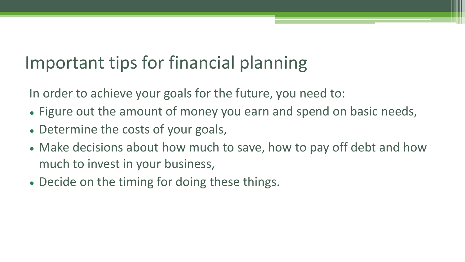# Important tips for financial planning

In order to achieve your goals for the future, you need to:

- Figure out the amount of money you earn and spend on basic needs,
- Determine the costs of your goals,
- Make decisions about how much to save, how to pay off debt and how much to invest in your business,
- Decide on the timing for doing these things.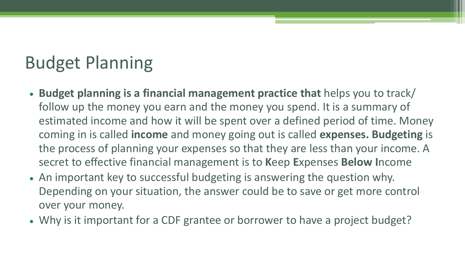## Budget Planning

- **Budget planning is a financial management practice that** helps you to track/ follow up the money you earn and the money you spend. It is a summary of estimated income and how it will be spent over a defined period of time. Money coming in is called **income** and money going out is called **expenses. Budgeting** is the process of planning your expenses so that they are less than your income. A secret to effective financial management is to **K**eep **E**xpenses **Below I**ncome
- An important key to successful budgeting is answering the question why. Depending on your situation, the answer could be to save or get more control over your money.
- Why is it important for a CDF grantee or borrower to have a project budget?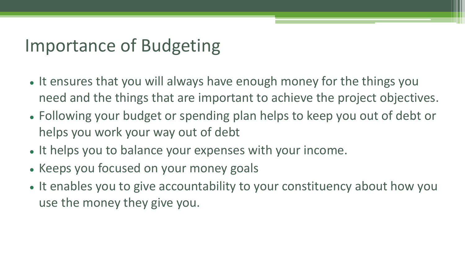### Importance of Budgeting

- It ensures that you will always have enough money for the things you need and the things that are important to achieve the project objectives.
- Following your budget or spending plan helps to keep you out of debt or helps you work your way out of debt
- It helps you to balance your expenses with your income.
- Keeps you focused on your money goals
- It enables you to give accountability to your constituency about how you use the money they give you.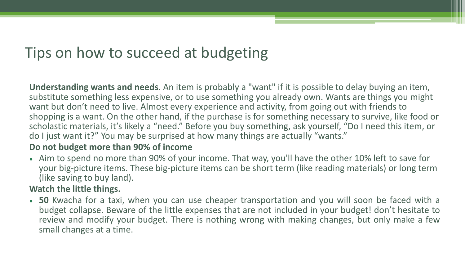### Tips on how to succeed at budgeting

**Understanding wants and needs**. An item is probably a "want" if it is possible to delay buying an item, substitute something less expensive, or to use something you already own. Wants are things you might want but don't need to live. Almost every experience and activity, from going out with friends to shopping is a want. On the other hand, if the purchase is for something necessary to survive, like food or scholastic materials, it's likely a "need." Before you buy something, ask yourself, "Do I need this item, or do I just want it?" You may be surprised at how many things are actually "wants."

#### **Do not budget more than 90% of income**

• Aim to spend no more than 90% of your income. That way, you'll have the other 10% left to save for your big-picture items. These big-picture items can be short term (like reading materials) or long term (like saving to buy land).

#### **Watch the little things.**

• **50** Kwacha for a taxi, when you can use cheaper transportation and you will soon be faced with a budget collapse. Beware of the little expenses that are not included in your budget! don't hesitate to review and modify your budget. There is nothing wrong with making changes, but only make a few small changes at a time.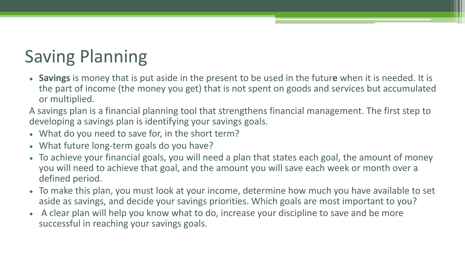# Saving Planning

- **Savings** is money that is put aside in the present to be used in the futur**e** when it is needed. It is the part of income (the money you get) that is not spent on goods and services but accumulated or multiplied.
- A savings plan is a financial planning tool that strengthens financial management. The first step to developing a savings plan is identifying your savings goals.
- What do you need to save for, in the short term?
- What future long-term goals do you have?
- To achieve your financial goals, you will need a plan that states each goal, the amount of money you will need to achieve that goal, and the amount you will save each week or month over a defined period.
- To make this plan, you must look at your income, determine how much you have available to set aside as savings, and decide your savings priorities. Which goals are most important to you?
- A clear plan will help you know what to do, increase your discipline to save and be more successful in reaching your savings goals.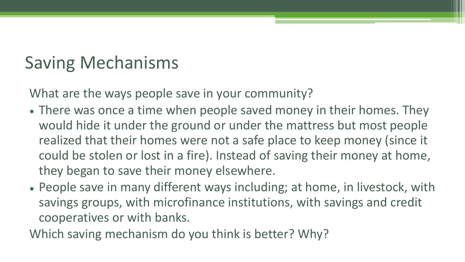## Saving Mechanisms

What are the ways people save in your community?

- There was once a time when people saved money in their homes. They would hide it under the ground or under the mattress but most people realized that their homes were not a safe place to keep money (since it could be stolen or lost in a fire). Instead of saving their money at home, they began to save their money elsewhere.
- People save in many different ways including; at home, in livestock, with savings groups, with microfinance institutions, with savings and credit cooperatives or with banks.

Which saving mechanism do you think is better? Why?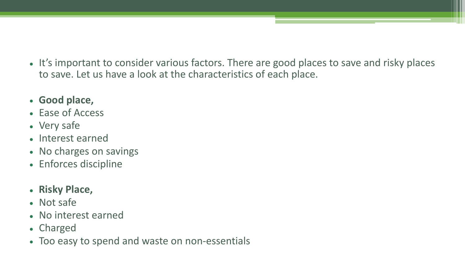- It's important to consider various factors. There are good places to save and risky places to save. Let us have a look at the characteristics of each place.
- **Good place,**
- Ease of Access
- Very safe
- Interest earned
- No charges on savings
- Enforces discipline
- **Risky Place,**
- Not safe
- No interest earned
- Charged
- Too easy to spend and waste on non-essentials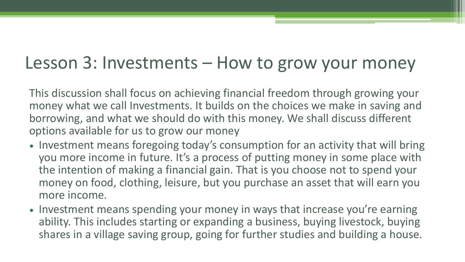### Lesson 3: Investments – How to grow your money

This discussion shall focus on achieving financial freedom through growing your money what we call Investments. It builds on the choices we make in saving and borrowing, and what we should do with this money. We shall discuss different options available for us to grow our money

- Investment means foregoing today's consumption for an activity that will bring you more income in future. It's a process of putting money in some place with the intention of making a financial gain. That is you choose not to spend your money on food, clothing, leisure, but you purchase an asset that will earn you more income.
- Investment means spending your money in ways that increase you're earning ability. This includes starting or expanding a business, buying livestock, buying shares in a village saving group, going for further studies and building a house.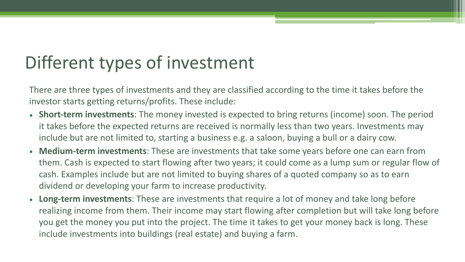## Different types of investment

There are three types of investments and they are classified according to the time it takes before the investor starts getting returns/profits. These include:

- **Short-term investments**: The money invested is expected to bring returns (income) soon. The period it takes before the expected returns are received is normally less than two years. Investments may include but are not limited to, starting a business e.g. a saloon, buying a bull or a dairy cow.
- **Medium-term investments**: These are investments that take some years before one can earn from them. Cash is expected to start flowing after two years; it could come as a lump sum or regular flow of cash. Examples include but are not limited to buying shares of a quoted company so as to earn dividend or developing your farm to increase productivity.
- **Long-term investments**: These are investments that require a lot of money and take long before realizing income from them. Their income may start flowing after completion but will take long before you get the money you put into the project. The time it takes to get your money back is long. These include investments into buildings (real estate) and buying a farm.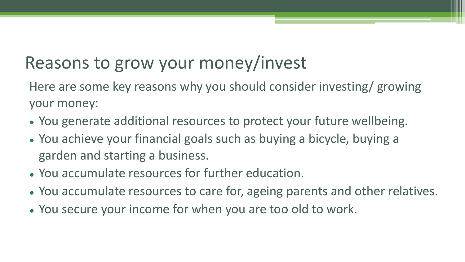# Reasons to grow your money/invest

Here are some key reasons why you should consider investing/ growing your money:

- You generate additional resources to protect your future wellbeing.
- You achieve your financial goals such as buying a bicycle, buying a garden and starting a business.
- You accumulate resources for further education.
- You accumulate resources to care for, ageing parents and other relatives.
- You secure your income for when you are too old to work.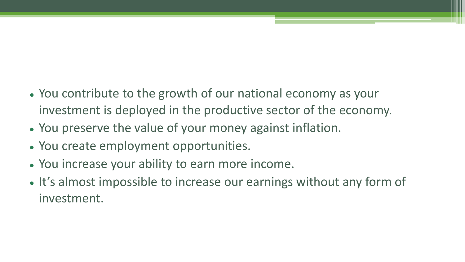- You contribute to the growth of our national economy as your investment is deployed in the productive sector of the economy.
- You preserve the value of your money against inflation.
- You create employment opportunities.
- You increase your ability to earn more income.
- It's almost impossible to increase our earnings without any form of investment.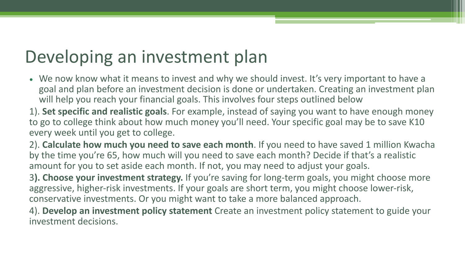### Developing an investment plan

- We now know what it means to invest and why we should invest. It's very important to have a goal and plan before an investment decision is done or undertaken. Creating an investment plan will help you reach your financial goals. This involves four steps outlined below
- 1). **Set specific and realistic goals**. For example, instead of saying you want to have enough money to go to college think about how much money you'll need. Your specific goal may be to save K10 every week until you get to college.
- 2). **Calculate how much you need to save each month**. If you need to have saved 1 million Kwacha by the time you're 65, how much will you need to save each month? Decide if that's a realistic amount for you to set aside each month. If not, you may need to adjust your goals.
- 3**). Choose your investment strategy.** If you're saving for long-term goals, you might choose more aggressive, higher-risk investments. If your goals are short term, you might choose lower-risk, conservative investments. Or you might want to take a more balanced approach.
- 4). **Develop an investment policy statement** Create an investment policy statement to guide your investment decisions.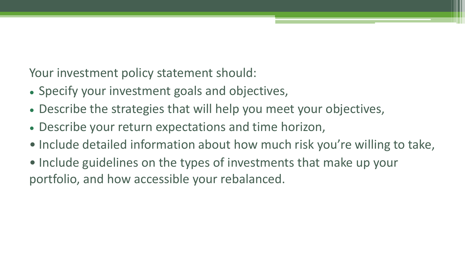Your investment policy statement should:

- Specify your investment goals and objectives,
- Describe the strategies that will help you meet your objectives,
- Describe your return expectations and time horizon,
- Include detailed information about how much risk you're willing to take,
- Include guidelines on the types of investments that make up your portfolio, and how accessible your rebalanced.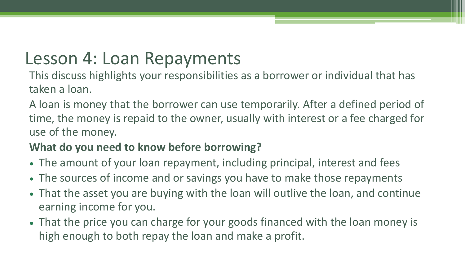### Lesson 4: Loan Repayments

This discuss highlights your responsibilities as a borrower or individual that has taken a loan.

A loan is money that the borrower can use temporarily. After a defined period of time, the money is repaid to the owner, usually with interest or a fee charged for use of the money.

### **What do you need to know before borrowing?**

- The amount of your loan repayment, including principal, interest and fees
- The sources of income and or savings you have to make those repayments
- That the asset you are buying with the loan will outlive the loan, and continue earning income for you.
- That the price you can charge for your goods financed with the loan money is high enough to both repay the loan and make a profit.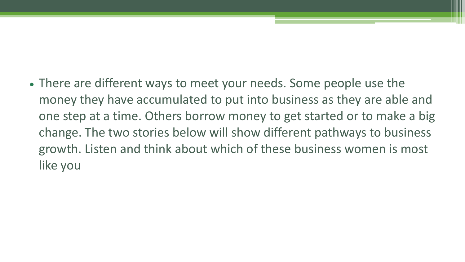• There are different ways to meet your needs. Some people use the money they have accumulated to put into business as they are able and one step at a time. Others borrow money to get started or to make a big change. The two stories below will show different pathways to business growth. Listen and think about which of these business women is most like you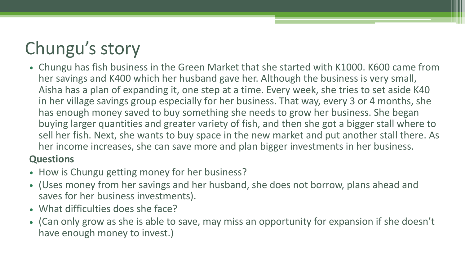# Chungu's story

• Chungu has fish business in the Green Market that she started with K1000. K600 came from her savings and K400 which her husband gave her. Although the business is very small, Aisha has a plan of expanding it, one step at a time. Every week, she tries to set aside K40 in her village savings group especially for her business. That way, every 3 or 4 months, she has enough money saved to buy something she needs to grow her business. She began buying larger quantities and greater variety of fish, and then she got a bigger stall where to sell her fish. Next, she wants to buy space in the new market and put another stall there. As her income increases, she can save more and plan bigger investments in her business.

#### **Questions**

- How is Chungu getting money for her business?
- (Uses money from her savings and her husband, she does not borrow, plans ahead and saves for her business investments).
- What difficulties does she face?
- (Can only grow as she is able to save, may miss an opportunity for expansion if she doesn't have enough money to invest.)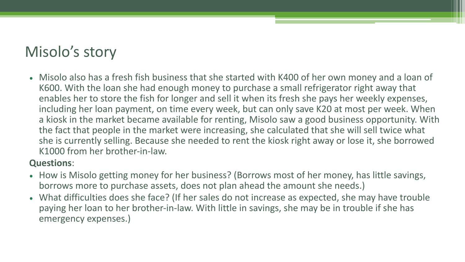### Misolo's story

• Misolo also has a fresh fish business that she started with K400 of her own money and a loan of K600. With the loan she had enough money to purchase a small refrigerator right away that enables her to store the fish for longer and sell it when its fresh she pays her weekly expenses, including her loan payment, on time every week, but can only save K20 at most per week. When a kiosk in the market became available for renting, Misolo saw a good business opportunity. With the fact that people in the market were increasing, she calculated that she will sell twice what she is currently selling. Because she needed to rent the kiosk right away or lose it, she borrowed K1000 from her brother-in-law.

#### **Questions**:

- How is Misolo getting money for her business? (Borrows most of her money, has little savings, borrows more to purchase assets, does not plan ahead the amount she needs.)
- What difficulties does she face? (If her sales do not increase as expected, she may have trouble paying her loan to her brother-in-law. With little in savings, she may be in trouble if she has emergency expenses.)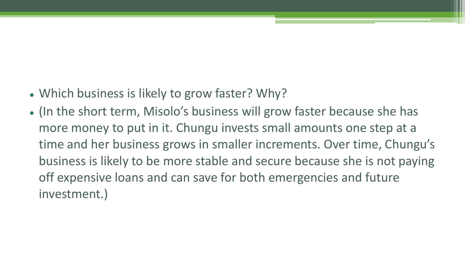- Which business is likely to grow faster? Why?
- (In the short term, Misolo's business will grow faster because she has more money to put in it. Chungu invests small amounts one step at a time and her business grows in smaller increments. Over time, Chungu's business is likely to be more stable and secure because she is not paying off expensive loans and can save for both emergencies and future investment.)